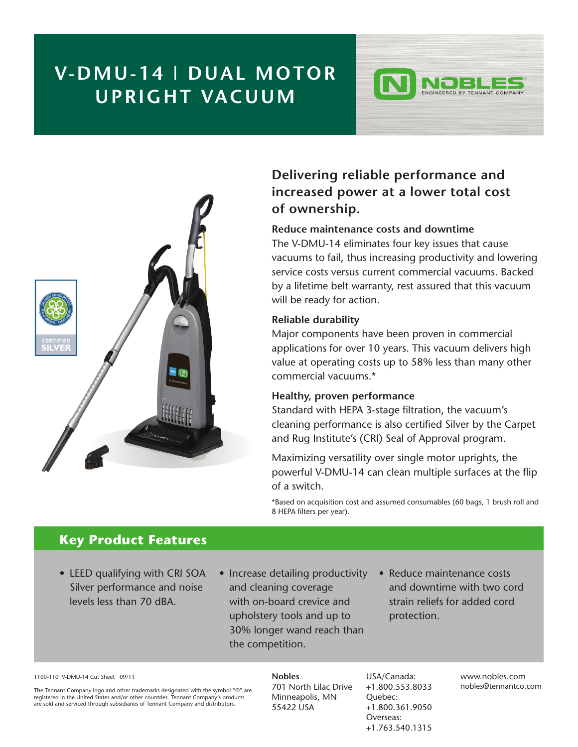# **V-DMU-14 | DUAL MOTOR UPRIGHT VACUUM**



### **Delivering reliable performance and increased power at a lower total cost of ownership.**

INGINEERED BY TENNANT COMPANY

#### **Reduce maintenance costs and downtime**

The V-DMU-14 eliminates four key issues that cause vacuums to fail, thus increasing productivity and lowering service costs versus current commercial vacuums. Backed by a lifetime belt warranty, rest assured that this vacuum will be ready for action.

#### **Reliable durability**

Major components have been proven in commercial applications for over 10 years. This vacuum delivers high value at operating costs up to 58% less than many other commercial vacuums.\*

#### **Healthy, proven performance**

Standard with HEPA 3-stage filtration, the vacuum's cleaning performance is also certified Silver by the Carpet and Rug Institute's (CRI) Seal of Approval program.

Maximizing versatility over single motor uprights, the powerful V-DMU-14 can clean multiple surfaces at the flip of a switch.

\*Based on acquisition cost and assumed consumables (60 bags, 1 brush roll and 8 HEPA filters per year).

### **Key Product Features**

- LEED qualifying with CRI SOA Silver performance and noise levels less than 70 dBA.
- Increase detailing productivity and cleaning coverage with on-board crevice and upholstery tools and up to 30% longer wand reach than the competition.
- Reduce maintenance costs and downtime with two cord strain reliefs for added cord protection.

1100-110 V-DMU-14 Cut Sheet 09/11

The Tennant Company logo and other trademarks designated with the symbol "®" are registered in the United States and/or other countries. Tennant Company's products are sold and serviced through subsidiaries of Tennant Company and distributors.

**Nobles** 701 North Lilac Drive Minneapolis, MN 55422 USA

USA/Canada: +1.800.553.8033 Quebec: +1.800.361.9050 Overseas: +1.763.540.1315

www.nobles.com nobles@tennantco.com